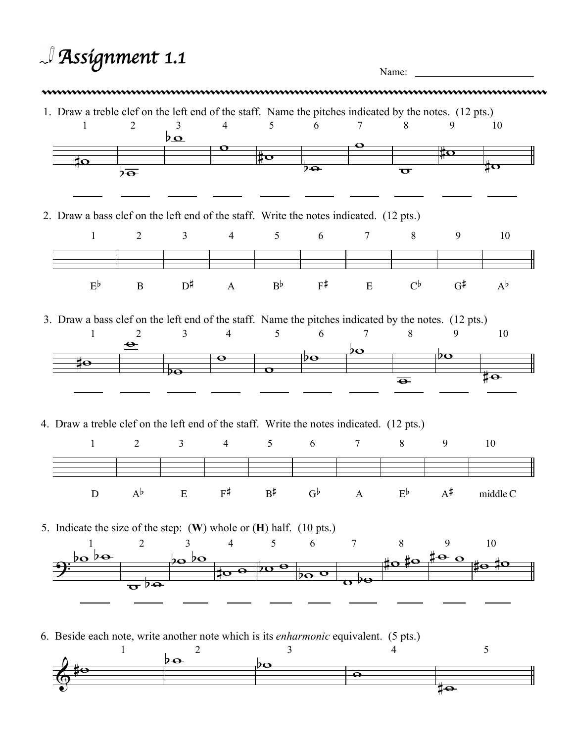## *Assignment 1.1* Name: 1. Draw a treble clef on the left end of the staff. Name the pitches indicated by the notes. (12 pts.) 1  $\sharp \mathbf{o}$ 2  $b\overline{\mathbf{e}}$ 3 عدا 4  $\overline{\mathbf{o}}$ 5  $\sharp \circ$ 6  $\overline{p_{\bigoplus}}$ 7  $\bullet$ 8  $\overline{\mathbf{o}}$ 9 ÏΟ 10  $\frac{1}{4}$ o 2. Draw a bass clef on the left end of the staff. Write the notes indicated. (12 pts.) 1  $E^{\flat}$ 2 B 3  $D^{\sharp}$  A 4 5  $B^{\flat}$ 6  $F^{\sharp}$ 7 E 8  $C^{\flat}$ 9  $G^{\sharp}$   $A^{\flat}$ 10 3. Draw a bass clef on the left end of the staff. Name the pitches indicated by the notes. (12 pts.)  $\sharp\mathbf{o}$ 1  $\triangle$ 2  $\overline{2\Omega}$ 3  $\overline{\mathbf{Q}}$ 4  $\overline{\mathbf{o}}$ 5  $\overline{\mathcal{P}}$  $\bullet$ 6  $20$ 7  $\overline{\Theta}$ 8  $\overline{p}$ 9  $\overline{1\Theta}$ 10 4. Draw a treble clef on the left end of the staff. Write the notes indicated. (12 pts.) 1 D 2  $A^{\flat}$ 3  $E$   $F^{\sharp}$ 4 5  $B^{\sharp}$ 6  $G^{\flat}$ 7 A 8  $E^{\flat}$ 9  $A^{\sharp}$ 10 middle C 5. Indicate the size of the step: (**W**) whole or (**H**) half. (10 pts.)  $\overline{\mathbf{b}}$ 1 bo  $\overline{\sigma}$ *b* $\overline{\sigma}$ 2  $\overline{2}$ 3  $b$  $\infty$  $\frac{1}{40}$   $\sigma$ 4  $\int_0^b \frac{\log \theta}{\log \theta}$ 5 6  $\overline{\mathbf{o}}$  $\overline{\mathbf{o}}$ 7  $\overline{2}$  8 9  $\frac{1}{4}$ 10 **‡0**  $\Phi$ 6. Beside each note, write another note which is its *enharmonic* equivalent. (5 pts.)  $\frac{1}{2}$ 1  $b\rightarrow$ 2 ÞӨ 3  $\overline{\mathbf{o}}$ 4 5

to-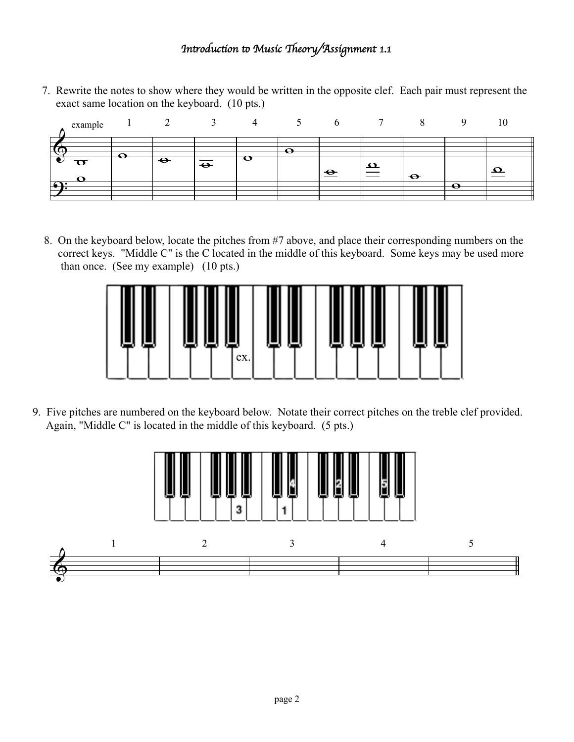## !*n*"*oduc*#*on* \$ *Music* %*eory/Assignment 1.1*

7. Rewrite the notes to show where they would be written in the opposite clef. Each pair must represent the exact same location on the keyboard. (10 pts.)



8. On the keyboard below, locate the pitches from #7 above, and place their corresponding numbers on the correct keys. "Middle C" is the C located in the middle of this keyboard. Some keys may be used more than once. (See my example) (10 pts.)



9. Five pitches are numbered on the keyboard below. Notate their correct pitches on the treble clef provided. Again, "Middle C" is located in the middle of this keyboard. (5 pts.)